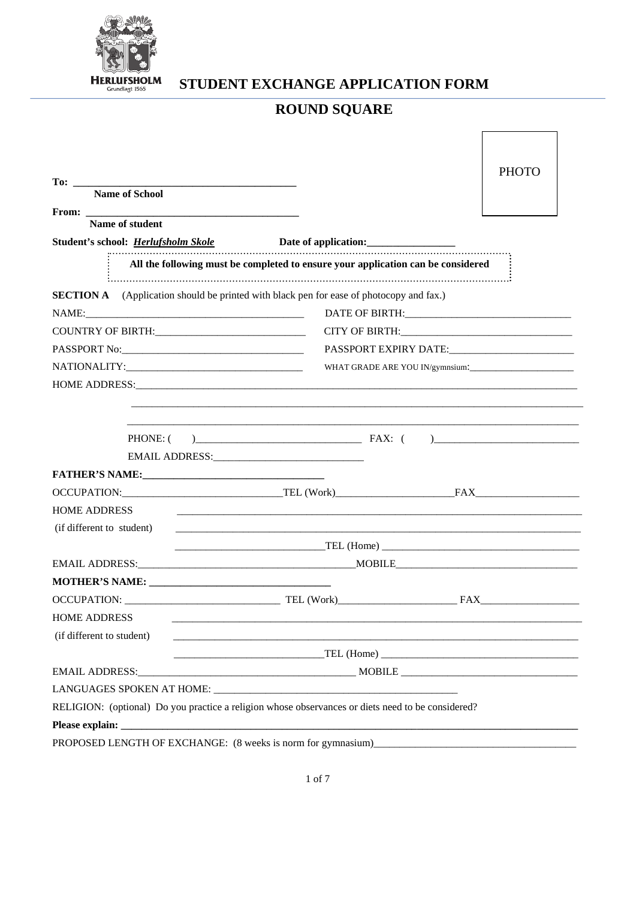

STUDENT EXCHANGE APPLICATION FORM

# **ROUND SQUARE**

|                                                                                                                                     |                                                                                                                                                                                                                               | <b>PHOTO</b>                                |  |
|-------------------------------------------------------------------------------------------------------------------------------------|-------------------------------------------------------------------------------------------------------------------------------------------------------------------------------------------------------------------------------|---------------------------------------------|--|
| <b>Name of School</b>                                                                                                               |                                                                                                                                                                                                                               |                                             |  |
|                                                                                                                                     |                                                                                                                                                                                                                               |                                             |  |
| Name of student                                                                                                                     |                                                                                                                                                                                                                               |                                             |  |
| Student's school: <u>Herlufsholm Skole</u> <b>Date of application:</b> <u>Detection</u>                                             |                                                                                                                                                                                                                               |                                             |  |
|                                                                                                                                     | All the following must be completed to ensure your application can be considered                                                                                                                                              |                                             |  |
| <b>SECTION A</b> (Application should be printed with black pen for ease of photocopy and fax.)                                      |                                                                                                                                                                                                                               |                                             |  |
|                                                                                                                                     |                                                                                                                                                                                                                               |                                             |  |
|                                                                                                                                     |                                                                                                                                                                                                                               | CITY OF BIRTH: CITY OF BIRTH:               |  |
|                                                                                                                                     |                                                                                                                                                                                                                               | PASSPORT EXPIRY DATE: PASSPORT EXPIRY DATE: |  |
|                                                                                                                                     |                                                                                                                                                                                                                               | WHAT GRADE ARE YOU IN/gymnsium:             |  |
|                                                                                                                                     |                                                                                                                                                                                                                               |                                             |  |
|                                                                                                                                     |                                                                                                                                                                                                                               |                                             |  |
|                                                                                                                                     |                                                                                                                                                                                                                               |                                             |  |
| <b>HOME ADDRESS</b>                                                                                                                 | the control of the control of the control of the control of the control of the control of the control of the control of the control of the control of the control of the control of the control of the control of the control |                                             |  |
| (if different to student)                                                                                                           |                                                                                                                                                                                                                               |                                             |  |
|                                                                                                                                     |                                                                                                                                                                                                                               |                                             |  |
|                                                                                                                                     |                                                                                                                                                                                                                               |                                             |  |
|                                                                                                                                     |                                                                                                                                                                                                                               |                                             |  |
|                                                                                                                                     |                                                                                                                                                                                                                               |                                             |  |
| <b>HOME ADDRESS</b>                                                                                                                 |                                                                                                                                                                                                                               |                                             |  |
| (if different to student)                                                                                                           | <u> Andreas Andreas Andreas Andreas Andreas Andreas Andreas Andreas Andreas Andreas Andreas Andreas Andreas Andr</u>                                                                                                          |                                             |  |
|                                                                                                                                     |                                                                                                                                                                                                                               |                                             |  |
|                                                                                                                                     |                                                                                                                                                                                                                               |                                             |  |
|                                                                                                                                     |                                                                                                                                                                                                                               |                                             |  |
| RELIGION: (optional) Do you practice a religion whose observances or diets need to be considered?                                   |                                                                                                                                                                                                                               |                                             |  |
|                                                                                                                                     |                                                                                                                                                                                                                               |                                             |  |
| PROPOSED LENGTH OF EXCHANGE: (8 weeks is norm for gymnasium)<br><u>PROPOSED</u> LENGTH OF EXCHANGE: (8 weeks is norm for gymnasium) |                                                                                                                                                                                                                               |                                             |  |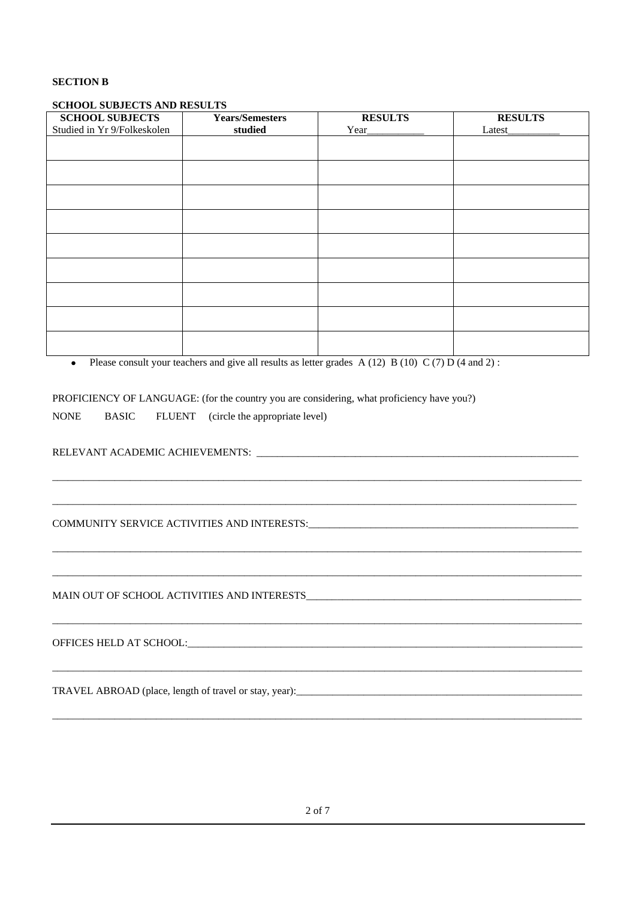#### **SECTION B**

#### **SCHOOL SUBJECTS AND RESULTS**

| <b>SCHOOL SUBJECTS</b><br>Studied in Yr 9/Folkeskolen | <b>Years/Semesters</b><br>studied | <b>RESULTS</b><br>Year_ | <b>RESULTS</b><br>Latest_ |
|-------------------------------------------------------|-----------------------------------|-------------------------|---------------------------|
|                                                       |                                   |                         |                           |
|                                                       |                                   |                         |                           |
|                                                       |                                   |                         |                           |
|                                                       |                                   |                         |                           |
|                                                       |                                   |                         |                           |
|                                                       |                                   |                         |                           |
|                                                       |                                   |                         |                           |
|                                                       |                                   |                         |                           |
|                                                       |                                   |                         |                           |
|                                                       |                                   |                         |                           |

\_\_\_\_\_\_\_\_\_\_\_\_\_\_\_\_\_\_\_\_\_\_\_\_\_\_\_\_\_\_\_\_\_\_\_\_\_\_\_\_\_\_\_\_\_\_\_\_\_\_\_\_\_\_\_\_\_\_\_\_\_\_\_\_\_\_\_\_\_\_\_\_\_\_\_\_\_\_\_\_\_\_\_\_\_\_\_\_\_\_\_\_\_\_\_\_\_\_\_\_\_\_

\_\_\_\_\_\_\_\_\_\_\_\_\_\_\_\_\_\_\_\_\_\_\_\_\_\_\_\_\_\_\_\_\_\_\_\_\_\_\_\_\_\_\_\_\_\_\_\_\_\_\_\_\_\_\_\_\_\_\_\_\_\_\_\_\_\_\_\_\_\_\_\_\_\_\_\_\_\_\_\_\_\_\_\_\_\_\_\_\_\_\_\_\_\_\_\_\_\_\_\_\_

\_\_\_\_\_\_\_\_\_\_\_\_\_\_\_\_\_\_\_\_\_\_\_\_\_\_\_\_\_\_\_\_\_\_\_\_\_\_\_\_\_\_\_\_\_\_\_\_\_\_\_\_\_\_\_\_\_\_\_\_\_\_\_\_\_\_\_\_\_\_\_\_\_\_\_\_\_\_\_\_\_\_\_\_\_\_\_\_\_\_\_\_\_\_\_\_\_\_\_\_\_\_

\_\_\_\_\_\_\_\_\_\_\_\_\_\_\_\_\_\_\_\_\_\_\_\_\_\_\_\_\_\_\_\_\_\_\_\_\_\_\_\_\_\_\_\_\_\_\_\_\_\_\_\_\_\_\_\_\_\_\_\_\_\_\_\_\_\_\_\_\_\_\_\_\_\_\_\_\_\_\_\_\_\_\_\_\_\_\_\_\_\_\_\_\_\_\_\_\_\_\_\_\_\_

\_\_\_\_\_\_\_\_\_\_\_\_\_\_\_\_\_\_\_\_\_\_\_\_\_\_\_\_\_\_\_\_\_\_\_\_\_\_\_\_\_\_\_\_\_\_\_\_\_\_\_\_\_\_\_\_\_\_\_\_\_\_\_\_\_\_\_\_\_\_\_\_\_\_\_\_\_\_\_\_\_\_\_\_\_\_\_\_\_\_\_\_\_\_\_\_\_\_\_\_\_\_

\_\_\_\_\_\_\_\_\_\_\_\_\_\_\_\_\_\_\_\_\_\_\_\_\_\_\_\_\_\_\_\_\_\_\_\_\_\_\_\_\_\_\_\_\_\_\_\_\_\_\_\_\_\_\_\_\_\_\_\_\_\_\_\_\_\_\_\_\_\_\_\_\_\_\_\_\_\_\_\_\_\_\_\_\_\_\_\_\_\_\_\_\_\_\_\_\_\_\_\_\_\_

\_\_\_\_\_\_\_\_\_\_\_\_\_\_\_\_\_\_\_\_\_\_\_\_\_\_\_\_\_\_\_\_\_\_\_\_\_\_\_\_\_\_\_\_\_\_\_\_\_\_\_\_\_\_\_\_\_\_\_\_\_\_\_\_\_\_\_\_\_\_\_\_\_\_\_\_\_\_\_\_\_\_\_\_\_\_\_\_\_\_\_\_\_\_\_\_\_\_\_\_\_\_

• Please consult your teachers and give all results as letter grades A (12) B (10) C (7) D (4 and 2) :

PROFICIENCY OF LANGUAGE: (for the country you are considering, what proficiency have you?)

NONE BASIC FLUENT (circle the appropriate level)

RELEVANT ACADEMIC ACHIEVEMENTS: \_\_\_\_\_\_\_\_\_\_\_\_\_\_\_\_\_\_\_\_\_\_\_\_\_\_\_\_\_\_\_\_\_\_\_\_\_\_\_\_\_\_\_\_\_\_\_\_\_\_\_\_\_\_\_\_\_\_\_\_\_\_

COMMUNITY SERVICE ACTIVITIES AND INTERESTS:

MAIN OUT OF SCHOOL ACTIVITIES AND INTERESTS\_\_\_\_\_\_\_\_\_\_\_\_\_\_\_\_\_\_\_\_\_\_\_\_\_\_\_\_\_\_\_\_\_\_\_\_\_\_\_\_\_\_\_\_\_\_\_\_\_\_\_\_\_

OFFICES HELD AT SCHOOL:\_\_\_\_\_\_\_\_\_\_\_\_\_\_\_\_\_\_\_\_\_\_\_\_\_\_\_\_\_\_\_\_\_\_\_\_\_\_\_\_\_\_\_\_\_\_\_\_\_\_\_\_\_\_\_\_\_\_\_\_\_\_\_\_\_\_\_\_\_\_\_\_\_\_\_\_

TRAVEL ABROAD (place, length of travel or stay, year):\_\_\_\_\_\_\_\_\_\_\_\_\_\_\_\_\_\_\_\_\_\_\_\_\_\_\_\_\_\_\_\_\_\_\_\_\_\_\_\_\_\_\_\_\_\_\_\_\_\_\_\_\_\_\_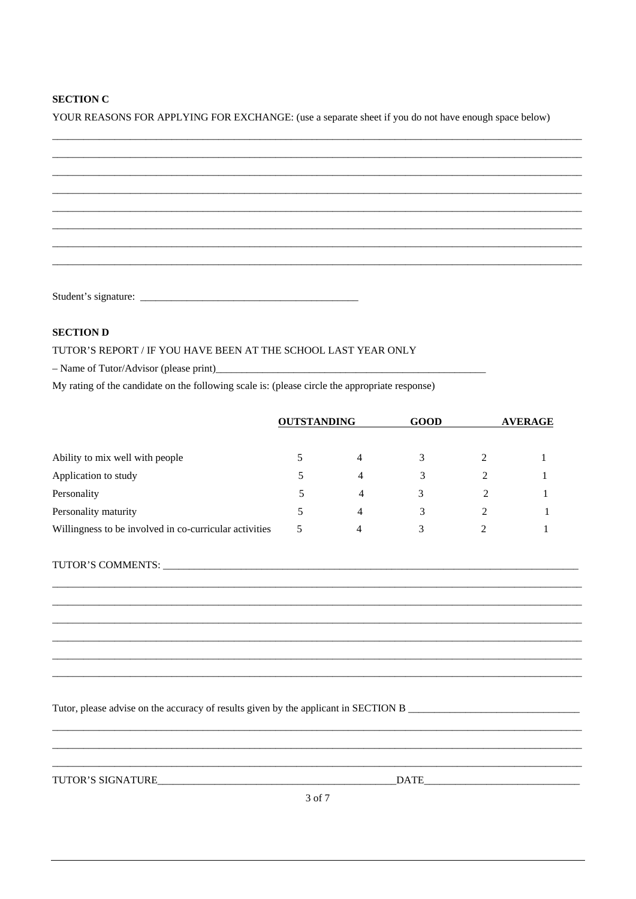#### **SECTION C**

YOUR REASONS FOR APPLYING FOR EXCHANGE: (use a separate sheet if you do not have enough space below)

#### **SECTION D**

#### TUTOR'S REPORT / IF YOU HAVE BEEN AT THE SCHOOL LAST YEAR ONLY

 $-$  Name of Tutor/Advisor (please print)

My rating of the candidate on the following scale is: (please circle the appropriate response)

|                                                        | <b>OUTSTANDING</b> |   | <b>GOOD</b> |   | <b>AVERAGE</b> |
|--------------------------------------------------------|--------------------|---|-------------|---|----------------|
| Ability to mix well with people                        |                    | 4 |             | 2 |                |
| Application to study                                   |                    | 4 |             |   |                |
| Personality                                            | 5                  | 4 |             |   |                |
| Personality maturity                                   |                    | 4 |             |   |                |
| Willingness to be involved in co-curricular activities | 5                  | 4 |             | 2 |                |

Tutor, please advise on the accuracy of results given by the applicant in SECTION B

TUTOR'S SIGNATURE

DATE

3 of 7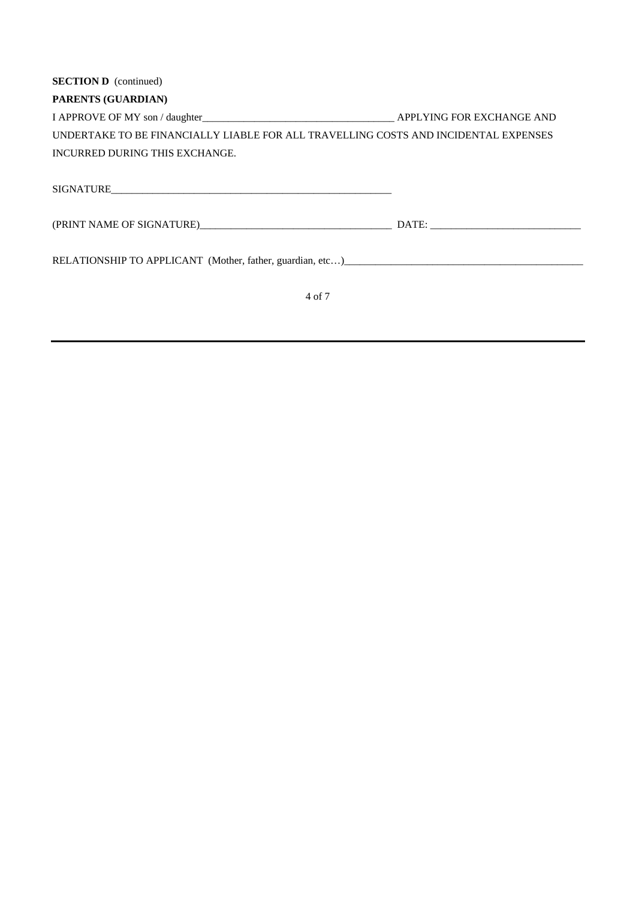| <b>SECTION D</b> (continued)                                                        |  |
|-------------------------------------------------------------------------------------|--|
| <b>PARENTS (GUARDIAN)</b>                                                           |  |
|                                                                                     |  |
| UNDERTAKE TO BE FINANCIALLY LIABLE FOR ALL TRAVELLING COSTS AND INCIDENTAL EXPENSES |  |
| INCURRED DURING THIS EXCHANGE.                                                      |  |
|                                                                                     |  |
|                                                                                     |  |
| RELATIONSHIP TO APPLICANT (Mother, father, guardian, etc)                           |  |

4 of 7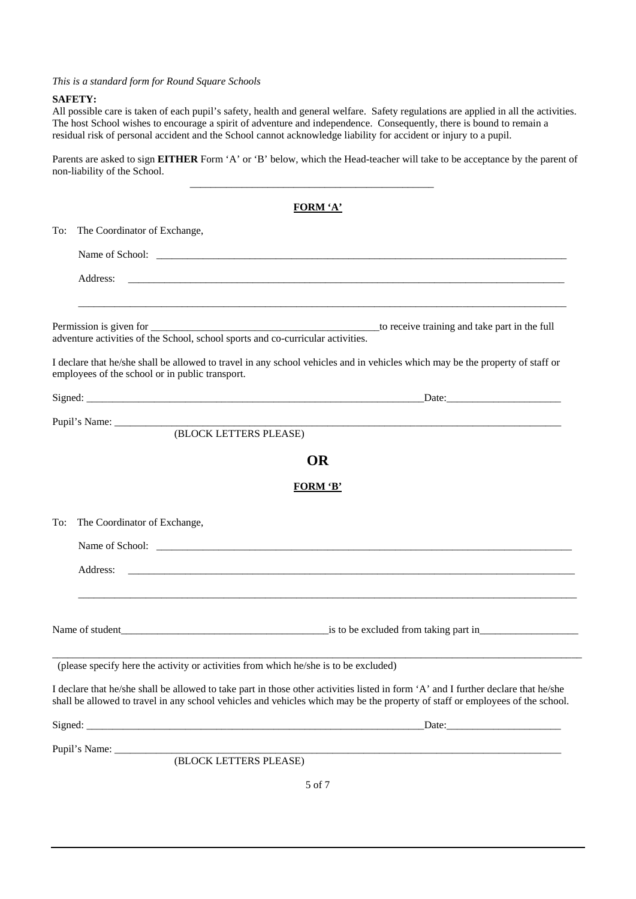*This is a standard form for Round Square Schools* 

#### **SAFETY:**

All possible care is taken of each pupil's safety, health and general welfare. Safety regulations are applied in all the activities. The host School wishes to encourage a spirit of adventure and independence. Consequently, there is bound to remain a residual risk of personal accident and the School cannot acknowledge liability for accident or injury to a pupil.

Parents are asked to sign **EITHER** Form 'A' or 'B' below, which the Head-teacher will take to be acceptance by the parent of non-liability of the School.

|     |                                                 | <b>FORM 'A'</b>                                                                                                                                                                                                                                                     |  |  |  |
|-----|-------------------------------------------------|---------------------------------------------------------------------------------------------------------------------------------------------------------------------------------------------------------------------------------------------------------------------|--|--|--|
| To: |                                                 | The Coordinator of Exchange,                                                                                                                                                                                                                                        |  |  |  |
|     |                                                 |                                                                                                                                                                                                                                                                     |  |  |  |
|     | Address:                                        | the control of the control of the control of the control of the control of the control of the control of the control of the control of the control of the control of the control of the control of the control of the control                                       |  |  |  |
|     |                                                 | adventure activities of the School, school sports and co-curricular activities.                                                                                                                                                                                     |  |  |  |
|     | employees of the school or in public transport. | I declare that he/she shall be allowed to travel in any school vehicles and in vehicles which may be the property of staff or                                                                                                                                       |  |  |  |
|     |                                                 |                                                                                                                                                                                                                                                                     |  |  |  |
|     |                                                 | Pupil's Name: (BLOCK LETTERS PLEASE)                                                                                                                                                                                                                                |  |  |  |
|     |                                                 | <b>OR</b>                                                                                                                                                                                                                                                           |  |  |  |
|     |                                                 | <b>FORM 'B'</b>                                                                                                                                                                                                                                                     |  |  |  |
| To: | The Coordinator of Exchange,                    |                                                                                                                                                                                                                                                                     |  |  |  |
|     |                                                 | Name of School:                                                                                                                                                                                                                                                     |  |  |  |
|     | Address:                                        |                                                                                                                                                                                                                                                                     |  |  |  |
|     |                                                 |                                                                                                                                                                                                                                                                     |  |  |  |
|     |                                                 | (please specify here the activity or activities from which he/she is to be excluded)                                                                                                                                                                                |  |  |  |
|     |                                                 | I declare that he/she shall be allowed to take part in those other activities listed in form 'A' and I further declare that he/she<br>shall be allowed to travel in any school vehicles and vehicles which may be the property of staff or employees of the school. |  |  |  |
|     |                                                 |                                                                                                                                                                                                                                                                     |  |  |  |
|     |                                                 | Pupil's Name: (BLOCK LETTERS PLEASE)                                                                                                                                                                                                                                |  |  |  |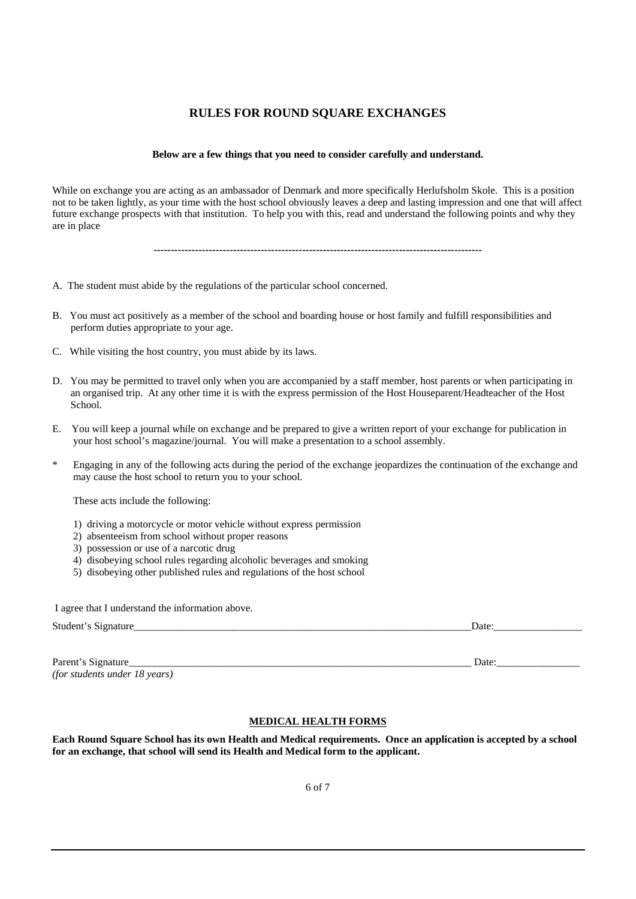### **RULES FOR ROUND SQUARE EXCHANGES**

#### **Below are a few things that you need to consider carefully and understand.**

While on exchange you are acting as an ambassador of Denmark and more specifically Herlufsholm Skole. This is a position not to be taken lightly, as your time with the host school obviously leaves a deep and lasting impression and one that will affect future exchange prospects with that institution. To help you with this, read and understand the following points and why they are in place

**-----------------------------------------------------------------------------------------------** 

- A. The student must abide by the regulations of the particular school concerned.
- B. You must act positively as a member of the school and boarding house or host family and fulfill responsibilities and perform duties appropriate to your age.
- C. While visiting the host country, you must abide by its laws.
- D. You may be permitted to travel only when you are accompanied by a staff member, host parents or when participating in an organised trip. At any other time it is with the express permission of the Host Houseparent/Headteacher of the Host School.
- E. You will keep a journal while on exchange and be prepared to give a written report of your exchange for publication in your host school's magazine/journal. You will make a presentation to a school assembly.
- \* Engaging in any of the following acts during the period of the exchange jeopardizes the continuation of the exchange and may cause the host school to return you to your school.

These acts include the following:

- 1) driving a motorcycle or motor vehicle without express permission
- 2) absenteeism from school without proper reasons
- 3) possession or use of a narcotic drug

I and I understand the information above.

- 4) disobeying school rules regarding alcoholic beverages and smoking
- 5) disobeying other published rules and regulations of the host school

| I agree that I understand the information above. |      |
|--------------------------------------------------|------|
| Student's Signature                              | Jate |
|                                                  |      |

Parent's Signature Date: *(for students under 18 years)* 

#### **MEDICAL HEALTH FORMS**

**Each Round Square School has its own Health and Medical requirements. Once an application is accepted by a school for an exchange, that school will send its Health and Medical form to the applicant.**